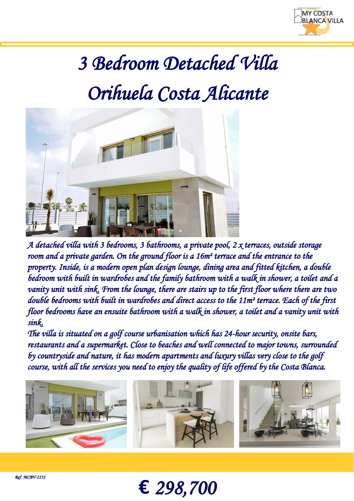

## *3 Bedroom Detached Villa Orihuela Costa Alicante*



*A detached villa with 3 bedrooms, 3 bathrooms, a private pool, 2 x terraces, outside storage room and a private garden. On the ground floor is a 16m² terrace and the entrance to the property. Inside, is a modern open plan design lounge, dining area and fitted kitchen, a double bedroom with built in wardrobes and the family bathroom with a walk in shower, a toilet and a vanity unit with sink. From the lounge, there are stairs up to the first floor where there are two double bedrooms with built in wardrobes and direct access to the 11m² terrace. Each of the first floor bedrooms have an ensuite bathroom with a walk in shower, a toilet and a vanity unit with sink.* 

*The villa is situated on a golf course urbanisation which has 24-hour security, onsite bars, restaurants and a supermarket. Close to beaches and well connected to major towns, surrounded by countryside and nature, it has modern apartments and luxury villas very close to the golf course, with all the services you need to enjoy the quality of life offered by the Costa Blanca.* 



**€** *298,700*